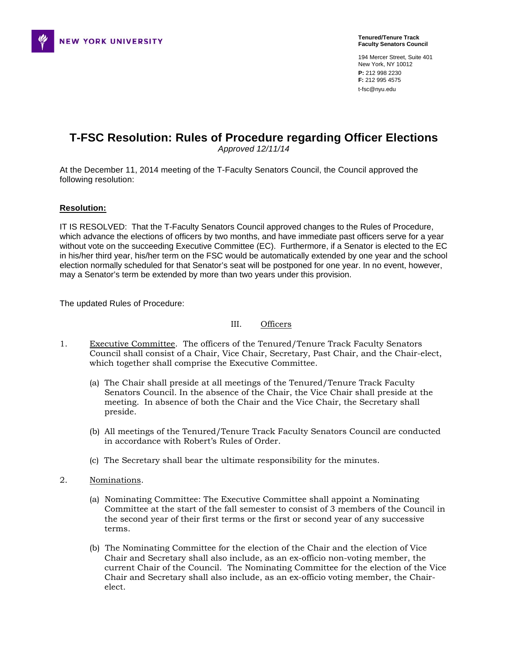

194 Mercer Street, Suite 401 New York, NY 10012 **P:** 212 998 2230 **F:** 212 995 4575 t-fsc@nyu.edu

# **T-FSC Resolution: Rules of Procedure regarding Officer Elections**

*Approved 12/11/14* 

At the December 11, 2014 meeting of the T-Faculty Senators Council, the Council approved the following resolution:

## **Resolution:**

IT IS RESOLVED: That the T-Faculty Senators Council approved changes to the Rules of Procedure, which advance the elections of officers by two months, and have immediate past officers serve for a year without vote on the succeeding Executive Committee (EC). Furthermore, if a Senator is elected to the EC in his/her third year, his/her term on the FSC would be automatically extended by one year and the school election normally scheduled for that Senator's seat will be postponed for one year. In no event, however, may a Senator's term be extended by more than two years under this provision.

The updated Rules of Procedure:

#### III. Officers

- 1. Executive Committee. The officers of the Tenured/Tenure Track Faculty Senators Council shall consist of a Chair, Vice Chair, Secretary, Past Chair, and the Chair-elect, which together shall comprise the Executive Committee.
	- (a) The Chair shall preside at all meetings of the Tenured/Tenure Track Faculty Senators Council. In the absence of the Chair, the Vice Chair shall preside at the meeting. In absence of both the Chair and the Vice Chair, the Secretary shall preside.
	- (b) All meetings of the Tenured/Tenure Track Faculty Senators Council are conducted in accordance with Robert's Rules of Order.
	- (c) The Secretary shall bear the ultimate responsibility for the minutes.
- 2. Nominations.
	- (a) Nominating Committee: The Executive Committee shall appoint a Nominating Committee at the start of the fall semester to consist of 3 members of the Council in the second year of their first terms or the first or second year of any successive terms.
	- (b) The Nominating Committee for the election of the Chair and the election of Vice Chair and Secretary shall also include, as an ex-officio non-voting member, the current Chair of the Council. The Nominating Committee for the election of the Vice Chair and Secretary shall also include, as an ex-officio voting member, the Chairelect.